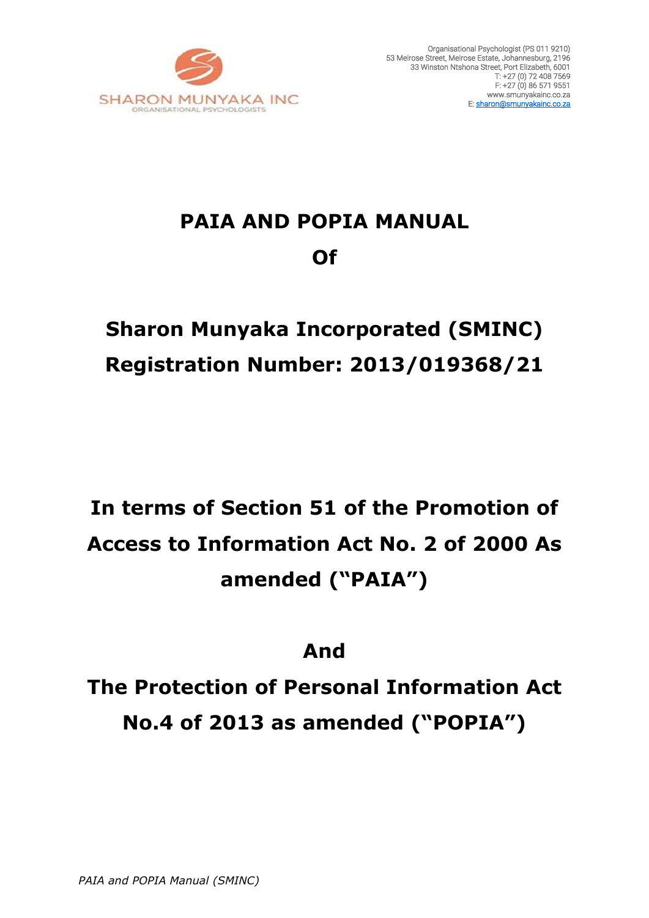

# **PAIA AND POPIA MANUAL Of**

# **Sharon Munyaka Incorporated (SMINC) Registration Number: 2013/019368/21**

# **In terms of Section 51 of the Promotion of Access to Information Act No. 2 of 2000 As amended ("PAIA")**

# **And**

**The Protection of Personal Information Act No.4 of 2013 as amended ("POPIA")**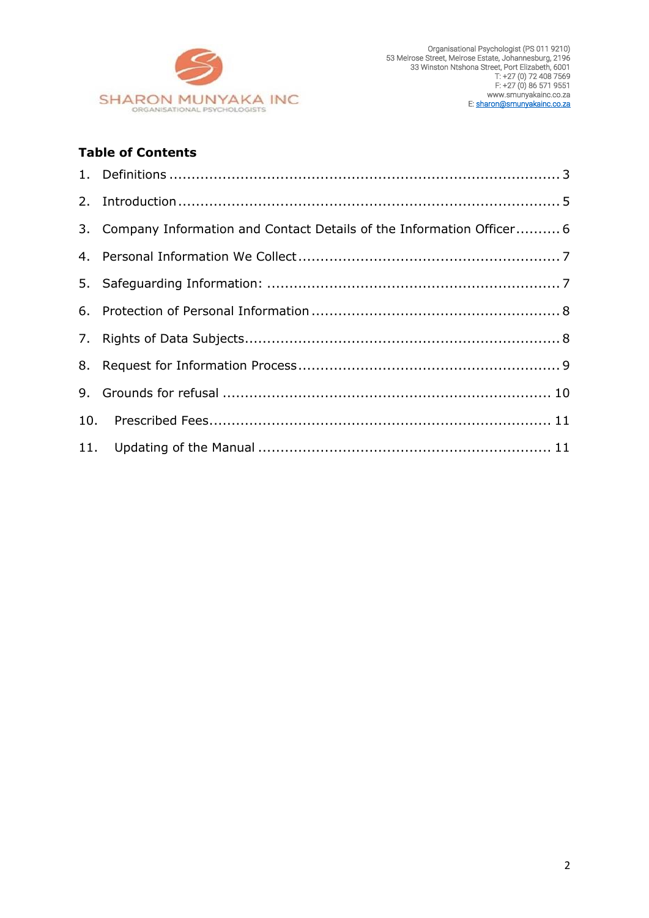

# **Table of Contents**

| 3. Company Information and Contact Details of the Information Officer 6 |  |
|-------------------------------------------------------------------------|--|
|                                                                         |  |
|                                                                         |  |
|                                                                         |  |
|                                                                         |  |
|                                                                         |  |
|                                                                         |  |
|                                                                         |  |
|                                                                         |  |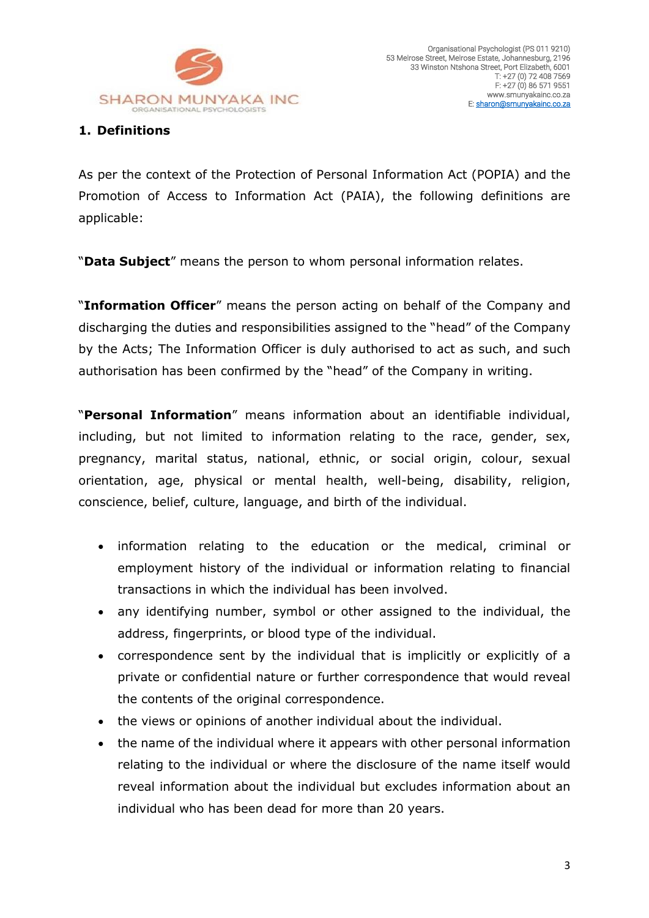

# <span id="page-2-0"></span>**1. Definitions**

As per the context of the Protection of Personal Information Act (POPIA) and the Promotion of Access to Information Act (PAIA), the following definitions are applicable:

"**Data Subject**" means the person to whom personal information relates.

"**Information Officer**" means the person acting on behalf of the Company and discharging the duties and responsibilities assigned to the "head" of the Company by the Acts; The Information Officer is duly authorised to act as such, and such authorisation has been confirmed by the "head" of the Company in writing.

"**Personal Information**" means information about an identifiable individual, including, but not limited to information relating to the race, gender, sex, pregnancy, marital status, national, ethnic, or social origin, colour, sexual orientation, age, physical or mental health, well-being, disability, religion, conscience, belief, culture, language, and birth of the individual.

- information relating to the education or the medical, criminal or employment history of the individual or information relating to financial transactions in which the individual has been involved.
- any identifying number, symbol or other assigned to the individual, the address, fingerprints, or blood type of the individual.
- correspondence sent by the individual that is implicitly or explicitly of a private or confidential nature or further correspondence that would reveal the contents of the original correspondence.
- the views or opinions of another individual about the individual.
- the name of the individual where it appears with other personal information relating to the individual or where the disclosure of the name itself would reveal information about the individual but excludes information about an individual who has been dead for more than 20 years.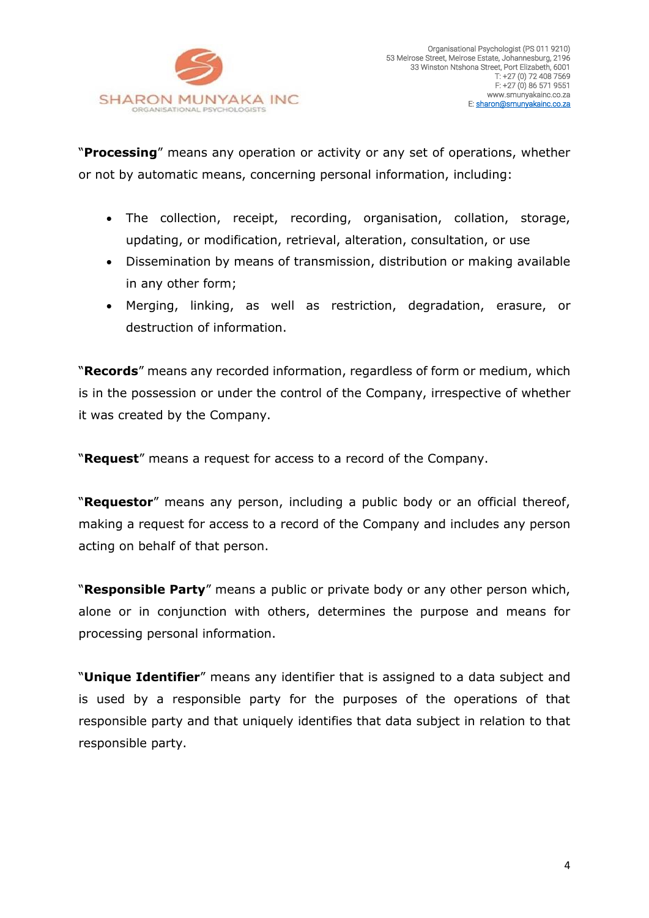

"**Processing**" means any operation or activity or any set of operations, whether or not by automatic means, concerning personal information, including:

- The collection, receipt, recording, organisation, collation, storage, updating, or modification, retrieval, alteration, consultation, or use
- Dissemination by means of transmission, distribution or making available in any other form;
- Merging, linking, as well as restriction, degradation, erasure, or destruction of information.

"**Records**" means any recorded information, regardless of form or medium, which is in the possession or under the control of the Company, irrespective of whether it was created by the Company.

"**Request**" means a request for access to a record of the Company.

"**Requestor**" means any person, including a public body or an official thereof, making a request for access to a record of the Company and includes any person acting on behalf of that person.

"**Responsible Party**" means a public or private body or any other person which, alone or in conjunction with others, determines the purpose and means for processing personal information.

"**Unique Identifier**" means any identifier that is assigned to a data subject and is used by a responsible party for the purposes of the operations of that responsible party and that uniquely identifies that data subject in relation to that responsible party.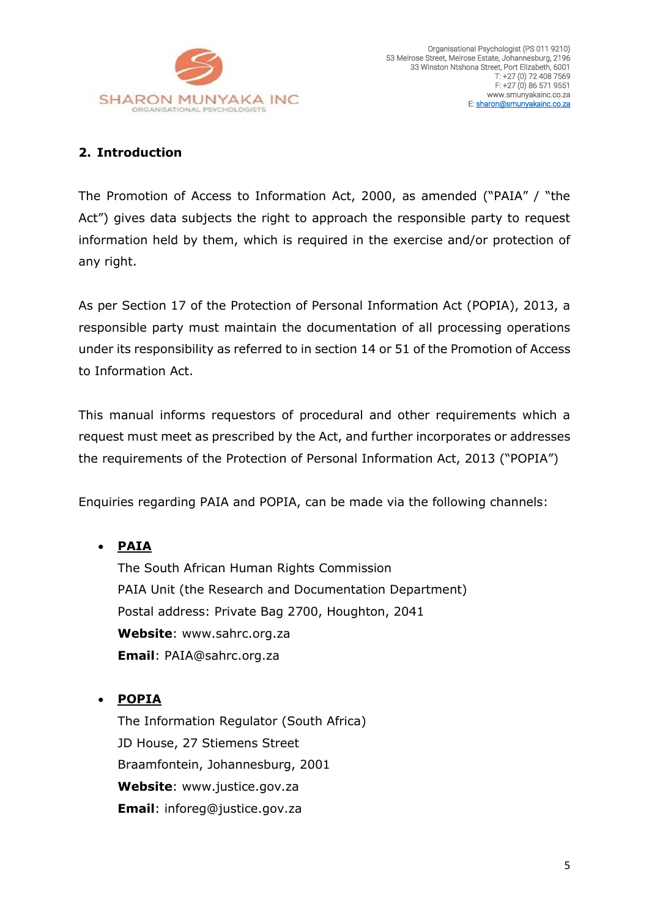

# <span id="page-4-0"></span>**2. Introduction**

The Promotion of Access to Information Act, 2000, as amended ("PAIA" / "the Act") gives data subjects the right to approach the responsible party to request information held by them, which is required in the exercise and/or protection of any right.

As per Section 17 of the Protection of Personal Information Act (POPIA), 2013, a responsible party must maintain the documentation of all processing operations under its responsibility as referred to in section 14 or 51 of the Promotion of Access to Information Act.

This manual informs requestors of procedural and other requirements which a request must meet as prescribed by the Act, and further incorporates or addresses the requirements of the Protection of Personal Information Act, 2013 ("POPIA")

Enquiries regarding PAIA and POPIA, can be made via the following channels:

• **PAIA** 

The South African Human Rights Commission PAIA Unit (the Research and Documentation Department) Postal address: Private Bag 2700, Houghton, 2041 **Website**: www.sahrc.org.za **Email**: [PAIA@sahrc.org.za](mailto:PAIA@sahrc.org.za)

• **POPIA**

The Information Regulator (South Africa) JD House, 27 Stiemens Street Braamfontein, Johannesburg, 2001 **Website**: www.justice.gov.za **Email**: inforeg@justice.gov.za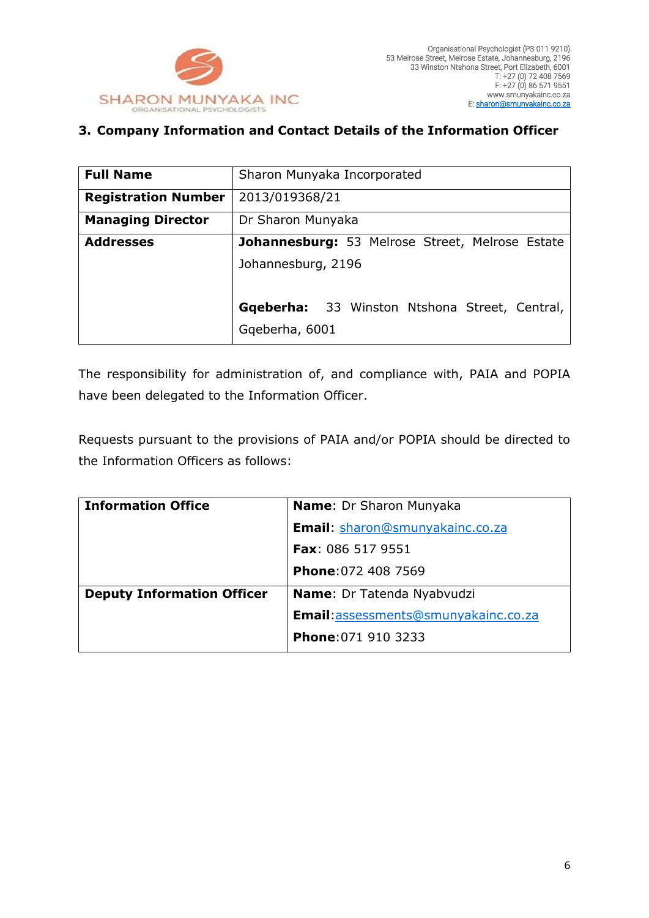

## <span id="page-5-0"></span>**3. Company Information and Contact Details of the Information Officer**

| <b>Full Name</b>           | Sharon Munyaka Incorporated                            |  |
|----------------------------|--------------------------------------------------------|--|
| <b>Registration Number</b> | 2013/019368/21                                         |  |
| <b>Managing Director</b>   | Dr Sharon Munyaka                                      |  |
| <b>Addresses</b>           | <b>Johannesburg:</b> 53 Melrose Street, Melrose Estate |  |
|                            | Johannesburg, 2196                                     |  |
|                            |                                                        |  |
|                            | Gqeberha: 33 Winston Ntshona Street, Central,          |  |
|                            | Gqeberha, 6001                                         |  |

The responsibility for administration of, and compliance with, PAIA and POPIA have been delegated to the Information Officer.

Requests pursuant to the provisions of PAIA and/or POPIA should be directed to the Information Officers as follows:

| <b>Information Office</b>         | <b>Name:</b> Dr Sharon Munyaka       |
|-----------------------------------|--------------------------------------|
|                                   | Email: sharon@smunyakainc.co.za      |
|                                   | <b>Fax: 086 517 9551</b>             |
|                                   | <b>Phone: 072 408 7569</b>           |
| <b>Deputy Information Officer</b> | <b>Name: Dr Tatenda Nyabvudzi</b>    |
|                                   | Email: assessments@smunyakainc.co.za |
|                                   | Phone: 071 910 3233                  |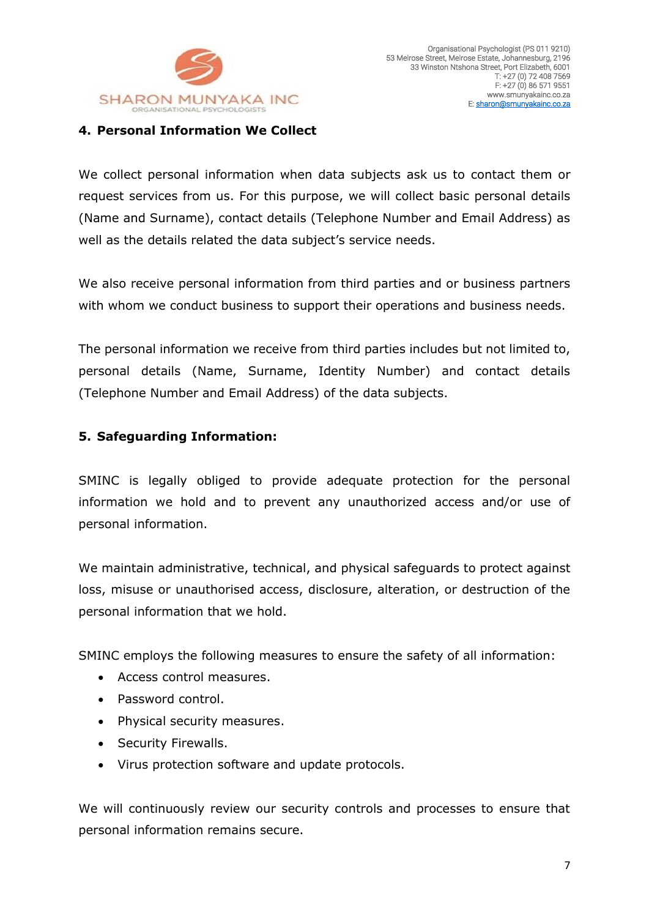

#### <span id="page-6-0"></span>**4. Personal Information We Collect**

We collect personal information when data subjects ask us to contact them or request services from us. For this purpose, we will collect basic personal details (Name and Surname), contact details (Telephone Number and Email Address) as well as the details related the data subject's service needs.

We also receive personal information from third parties and or business partners with whom we conduct business to support their operations and business needs.

The personal information we receive from third parties includes but not limited to, personal details (Name, Surname, Identity Number) and contact details (Telephone Number and Email Address) of the data subjects.

#### <span id="page-6-1"></span>**5. Safeguarding Information:**

SMINC is legally obliged to provide adequate protection for the personal information we hold and to prevent any unauthorized access and/or use of personal information.

We maintain administrative, technical, and physical safeguards to protect against loss, misuse or unauthorised access, disclosure, alteration, or destruction of the personal information that we hold.

SMINC employs the following measures to ensure the safety of all information:

- Access control measures.
- Password control.
- Physical security measures.
- Security Firewalls.
- Virus protection software and update protocols.

We will continuously review our security controls and processes to ensure that personal information remains secure.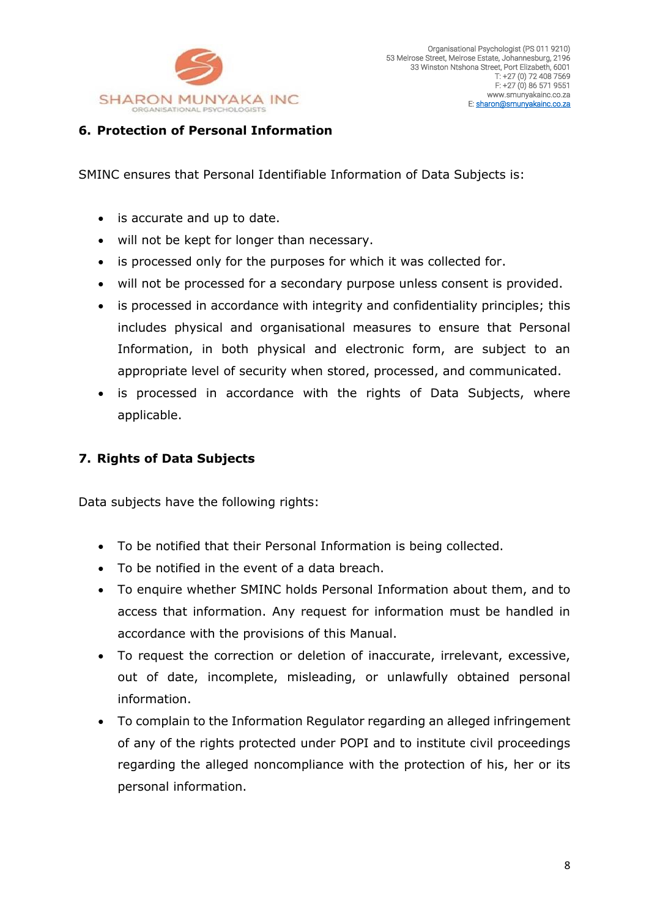

### <span id="page-7-0"></span>**6. Protection of Personal Information**

SMINC ensures that Personal Identifiable Information of Data Subjects is:

- is accurate and up to date.
- will not be kept for longer than necessary.
- is processed only for the purposes for which it was collected for.
- will not be processed for a secondary purpose unless consent is provided.
- is processed in accordance with integrity and confidentiality principles; this includes physical and organisational measures to ensure that Personal Information, in both physical and electronic form, are subject to an appropriate level of security when stored, processed, and communicated.
- is processed in accordance with the rights of Data Subjects, where applicable.

# <span id="page-7-1"></span>**7. Rights of Data Subjects**

Data subjects have the following rights:

- To be notified that their Personal Information is being collected.
- To be notified in the event of a data breach.
- To enquire whether SMINC holds Personal Information about them, and to access that information. Any request for information must be handled in accordance with the provisions of this Manual.
- To request the correction or deletion of inaccurate, irrelevant, excessive, out of date, incomplete, misleading, or unlawfully obtained personal information.
- To complain to the Information Regulator regarding an alleged infringement of any of the rights protected under POPI and to institute civil proceedings regarding the alleged noncompliance with the protection of his, her or its personal information.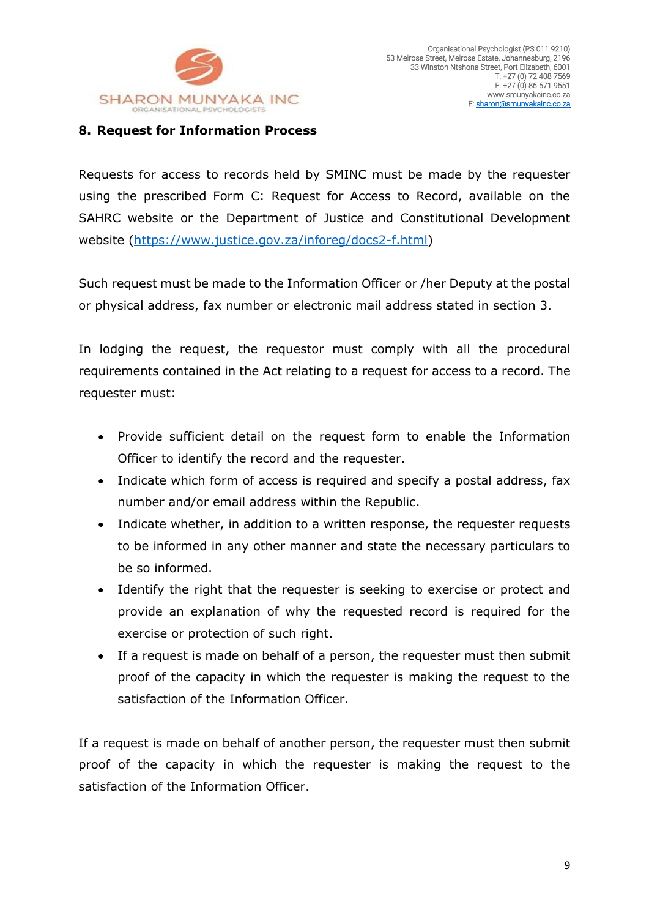

#### <span id="page-8-0"></span>**8. Request for Information Process**

Requests for access to records held by SMINC must be made by the requester using the prescribed Form C: Request for Access to Record, available on the SAHRC website or the Department of Justice and Constitutional Development website [\(https://www.justice.gov.za/inforeg/docs2-f.html\)](https://www.justice.gov.za/inforeg/docs2-f.html)

Such request must be made to the Information Officer or /her Deputy at the postal or physical address, fax number or electronic mail address stated in section 3.

In lodging the request, the requestor must comply with all the procedural requirements contained in the Act relating to a request for access to a record. The requester must:

- Provide sufficient detail on the request form to enable the Information Officer to identify the record and the requester.
- Indicate which form of access is required and specify a postal address, fax number and/or email address within the Republic.
- Indicate whether, in addition to a written response, the requester requests to be informed in any other manner and state the necessary particulars to be so informed.
- Identify the right that the requester is seeking to exercise or protect and provide an explanation of why the requested record is required for the exercise or protection of such right.
- If a request is made on behalf of a person, the requester must then submit proof of the capacity in which the requester is making the request to the satisfaction of the Information Officer.

If a request is made on behalf of another person, the requester must then submit proof of the capacity in which the requester is making the request to the satisfaction of the Information Officer.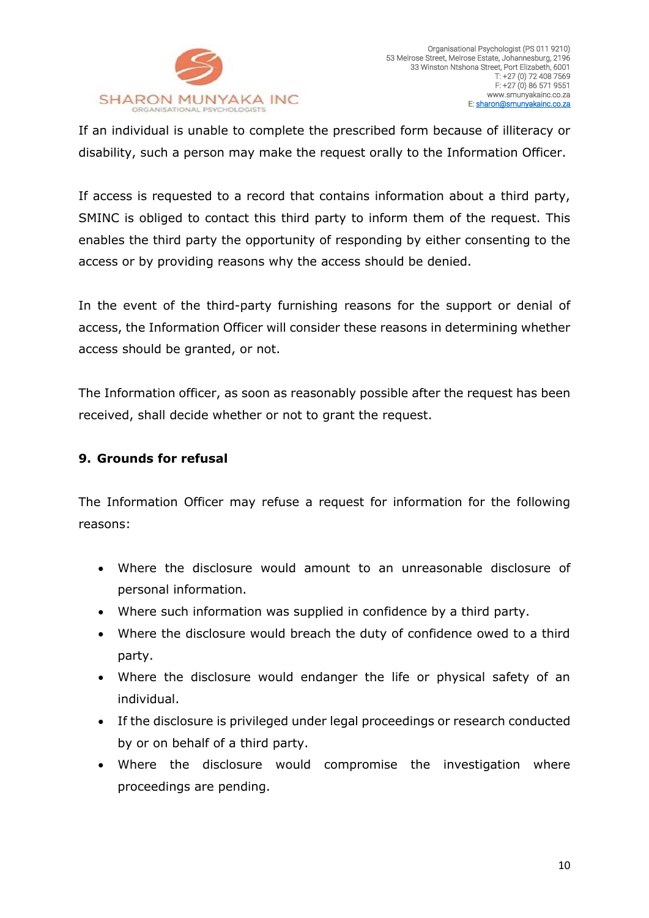

If an individual is unable to complete the prescribed form because of illiteracy or disability, such a person may make the request orally to the Information Officer.

If access is requested to a record that contains information about a third party, SMINC is obliged to contact this third party to inform them of the request. This enables the third party the opportunity of responding by either consenting to the access or by providing reasons why the access should be denied.

In the event of the third-party furnishing reasons for the support or denial of access, the Information Officer will consider these reasons in determining whether access should be granted, or not.

The Information officer, as soon as reasonably possible after the request has been received, shall decide whether or not to grant the request.

# <span id="page-9-0"></span>**9. Grounds for refusal**

The Information Officer may refuse a request for information for the following reasons:

- Where the disclosure would amount to an unreasonable disclosure of personal information.
- Where such information was supplied in confidence by a third party.
- Where the disclosure would breach the duty of confidence owed to a third party.
- Where the disclosure would endanger the life or physical safety of an individual.
- If the disclosure is privileged under legal proceedings or research conducted by or on behalf of a third party.
- Where the disclosure would compromise the investigation where proceedings are pending.